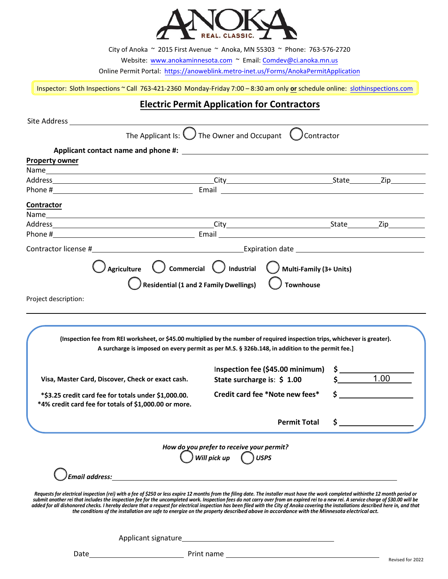

City of Anoka ~ 2015 First Avenue ~ Anoka, MN 55303 ~ Phone: 763-576-2720

Website: [www.anokaminnesota.com](https://www.anokaminnesota.com/) ~ Email: Comdev@[ci.anoka.mn.us](mailto:Comdev@ci.anoka.mn.us)

Online Permit Portal: <https://anoweblink.metro-inet.us/Forms/AnokaPermitApplication>

Inspector: Sloth Inspections ~ Call 763-421-2360 Monday-Friday 7:00 – 8:30 am only **or** schedule online: [slothinspections.com](https://slothinspections.com/index.php)

## **Electric Permit Application for Contractors**

| Site Address and the Address and the Address and the Address and the Address and the Address of the Address of T                                                                                                                                                                                                                                                                                                                                                                                                                                                                                                                                                                                                    |                                                                                                                                                                  |                    |                    |
|---------------------------------------------------------------------------------------------------------------------------------------------------------------------------------------------------------------------------------------------------------------------------------------------------------------------------------------------------------------------------------------------------------------------------------------------------------------------------------------------------------------------------------------------------------------------------------------------------------------------------------------------------------------------------------------------------------------------|------------------------------------------------------------------------------------------------------------------------------------------------------------------|--------------------|--------------------|
|                                                                                                                                                                                                                                                                                                                                                                                                                                                                                                                                                                                                                                                                                                                     | The Applicant Is: $\bigcup$ The Owner and Occupant $\bigcup$ Contractor                                                                                          |                    |                    |
| <b>Property owner</b>                                                                                                                                                                                                                                                                                                                                                                                                                                                                                                                                                                                                                                                                                               |                                                                                                                                                                  |                    |                    |
|                                                                                                                                                                                                                                                                                                                                                                                                                                                                                                                                                                                                                                                                                                                     |                                                                                                                                                                  |                    |                    |
|                                                                                                                                                                                                                                                                                                                                                                                                                                                                                                                                                                                                                                                                                                                     |                                                                                                                                                                  |                    |                    |
| <b>Contractor</b>                                                                                                                                                                                                                                                                                                                                                                                                                                                                                                                                                                                                                                                                                                   |                                                                                                                                                                  |                    |                    |
|                                                                                                                                                                                                                                                                                                                                                                                                                                                                                                                                                                                                                                                                                                                     |                                                                                                                                                                  |                    |                    |
|                                                                                                                                                                                                                                                                                                                                                                                                                                                                                                                                                                                                                                                                                                                     |                                                                                                                                                                  |                    |                    |
|                                                                                                                                                                                                                                                                                                                                                                                                                                                                                                                                                                                                                                                                                                                     |                                                                                                                                                                  |                    |                    |
|                                                                                                                                                                                                                                                                                                                                                                                                                                                                                                                                                                                                                                                                                                                     | $\bigcirc$ Agriculture $\bigcirc$ Commercial $\bigcirc$ Industrial $\bigcirc$ Multi-Family (3+ Units)                                                            |                    |                    |
|                                                                                                                                                                                                                                                                                                                                                                                                                                                                                                                                                                                                                                                                                                                     | $)$ Residential (1 and 2 Family Dwellings) $\qquad$ Townhouse                                                                                                    |                    |                    |
| Project description:                                                                                                                                                                                                                                                                                                                                                                                                                                                                                                                                                                                                                                                                                                |                                                                                                                                                                  |                    |                    |
|                                                                                                                                                                                                                                                                                                                                                                                                                                                                                                                                                                                                                                                                                                                     |                                                                                                                                                                  |                    |                    |
| (Inspection fee from REI worksheet, or \$45.00 multiplied by the number of required inspection trips, whichever is greater).<br>Visa, Master Card, Discover, Check or exact cash.                                                                                                                                                                                                                                                                                                                                                                                                                                                                                                                                   | A surcharge is imposed on every permit as per M.S. § 326b.148, in addition to the permit fee.]<br>Inspection fee (\$45.00 minimum)<br>State surcharge is: \$1.00 | \$   _______       | $\frac{1}{2}$ 1.00 |
| *\$3.25 credit card fee for totals under \$1,000.00.<br>*4% credit card fee for totals of \$1,000.00 or more.                                                                                                                                                                                                                                                                                                                                                                                                                                                                                                                                                                                                       | Credit card fee *Note new fees*                                                                                                                                  |                    | $\mathsf{\hat{S}}$ |
|                                                                                                                                                                                                                                                                                                                                                                                                                                                                                                                                                                                                                                                                                                                     | <b>Permit Total</b>                                                                                                                                              | $\mathsf{\hat{S}}$ |                    |
|                                                                                                                                                                                                                                                                                                                                                                                                                                                                                                                                                                                                                                                                                                                     | How do you prefer to receive your permit?<br>$\bigcirc$ Will pick up $\bigcirc$ USPS                                                                             |                    |                    |
| <b>Email address:</b>                                                                                                                                                                                                                                                                                                                                                                                                                                                                                                                                                                                                                                                                                               |                                                                                                                                                                  |                    |                    |
| Requests for electrical inspection (rei) with a fee of \$250 or less expire 12 months from the filing date. The installer must have the work completed withinthe 12 month period or<br>submit another rei that includes the inspection fee for the uncompleted work. Inspection fees do not carry over from an expired rei to a new rei. A service charge of \$30.00 will be<br>added for all dishonored checks. I hereby declare that a request for electrical inspection has been filed with the City of Anoka covering the installations described here in, and that<br>the conditions of the installation are safe to eneraize on the property described above in accordance with the Minnesota electrical act. |                                                                                                                                                                  |                    |                    |
| Applicant signature                                                                                                                                                                                                                                                                                                                                                                                                                                                                                                                                                                                                                                                                                                 |                                                                                                                                                                  |                    |                    |

Date Print name